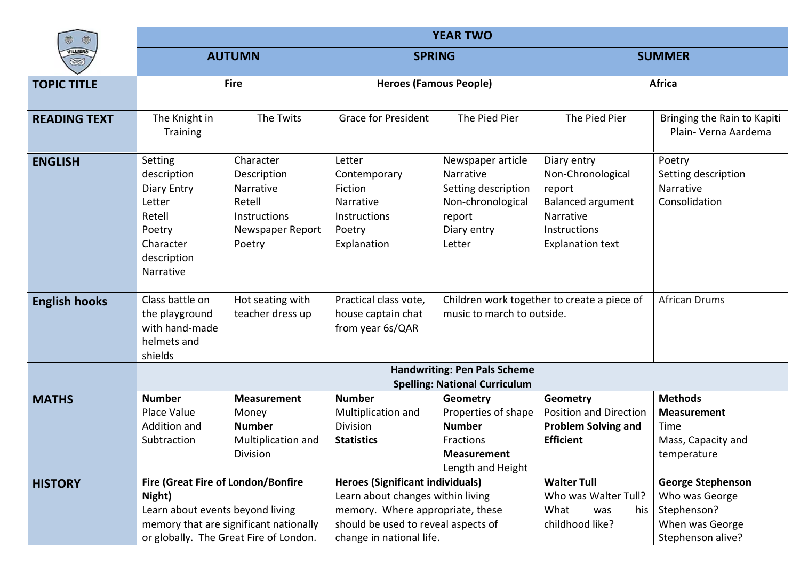| ۰<br>$\circledcirc$  | <b>YEAR TWO</b>                                                                                                                                                             |                                                                                                      |                                                                                                                                                                                     |                                                                                                               |                                                                                                                                |                                                                                                   |  |  |
|----------------------|-----------------------------------------------------------------------------------------------------------------------------------------------------------------------------|------------------------------------------------------------------------------------------------------|-------------------------------------------------------------------------------------------------------------------------------------------------------------------------------------|---------------------------------------------------------------------------------------------------------------|--------------------------------------------------------------------------------------------------------------------------------|---------------------------------------------------------------------------------------------------|--|--|
| VILLIERS<br>S        | <b>AUTUMN</b>                                                                                                                                                               |                                                                                                      | <b>SPRING</b>                                                                                                                                                                       |                                                                                                               | <b>SUMMER</b>                                                                                                                  |                                                                                                   |  |  |
| <b>TOPIC TITLE</b>   | <b>Fire</b>                                                                                                                                                                 |                                                                                                      | <b>Heroes (Famous People)</b>                                                                                                                                                       |                                                                                                               | <b>Africa</b>                                                                                                                  |                                                                                                   |  |  |
| <b>READING TEXT</b>  | The Knight in<br><b>Training</b>                                                                                                                                            | The Twits                                                                                            | <b>Grace for President</b>                                                                                                                                                          | The Pied Pier                                                                                                 | The Pied Pier                                                                                                                  | Bringing the Rain to Kapiti<br>Plain- Verna Aardema                                               |  |  |
| <b>ENGLISH</b>       | Setting<br>description<br>Diary Entry<br>Letter<br>Retell<br>Poetry<br>Character<br>description<br>Narrative                                                                | Character<br>Description<br>Narrative<br>Retell<br><b>Instructions</b><br>Newspaper Report<br>Poetry | Letter<br>Contemporary<br>Fiction<br>Narrative<br>Instructions<br>Poetry<br>Explanation                                                                                             | Newspaper article<br>Narrative<br>Setting description<br>Non-chronological<br>report<br>Diary entry<br>Letter | Diary entry<br>Non-Chronological<br>report<br><b>Balanced argument</b><br>Narrative<br>Instructions<br><b>Explanation text</b> | Poetry<br>Setting description<br>Narrative<br>Consolidation                                       |  |  |
| <b>English hooks</b> | Class battle on<br>the playground<br>with hand-made<br>helmets and<br>shields                                                                                               | Hot seating with<br>teacher dress up                                                                 | Practical class vote,<br>house captain chat<br>from year 6s/QAR                                                                                                                     | Children work together to create a piece of<br>music to march to outside.                                     |                                                                                                                                | <b>African Drums</b>                                                                              |  |  |
|                      | <b>Handwriting: Pen Pals Scheme</b>                                                                                                                                         |                                                                                                      |                                                                                                                                                                                     |                                                                                                               |                                                                                                                                |                                                                                                   |  |  |
| <b>MATHS</b>         | <b>Number</b>                                                                                                                                                               | <b>Measurement</b>                                                                                   | <b>Number</b>                                                                                                                                                                       | <b>Spelling: National Curriculum</b><br>Geometry                                                              | Geometry                                                                                                                       | <b>Methods</b>                                                                                    |  |  |
|                      | Place Value<br>Addition and<br>Subtraction                                                                                                                                  | Money<br><b>Number</b><br>Multiplication and<br>Division                                             | Multiplication and<br>Division<br><b>Statistics</b>                                                                                                                                 | Properties of shape<br><b>Number</b><br>Fractions<br><b>Measurement</b><br>Length and Height                  | <b>Position and Direction</b><br><b>Problem Solving and</b><br><b>Efficient</b>                                                | <b>Measurement</b><br>Time<br>Mass, Capacity and<br>temperature                                   |  |  |
| <b>HISTORY</b>       | <b>Fire (Great Fire of London/Bonfire</b><br>Night)<br>Learn about events beyond living<br>memory that are significant nationally<br>or globally. The Great Fire of London. |                                                                                                      | <b>Heroes (Significant individuals)</b><br>Learn about changes within living<br>memory. Where appropriate, these<br>should be used to reveal aspects of<br>change in national life. |                                                                                                               | <b>Walter Tull</b><br>Who was Walter Tull?<br>What<br>was<br>his<br>childhood like?                                            | <b>George Stephenson</b><br>Who was George<br>Stephenson?<br>When was George<br>Stephenson alive? |  |  |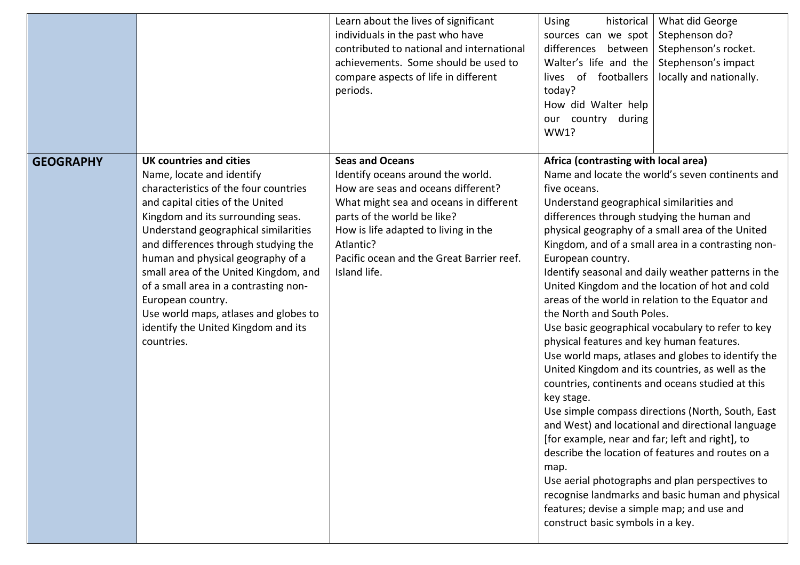|                  |                                                                                                                                                                                                                                                                                                                                                                                                                                                                                                         | Learn about the lives of significant<br>individuals in the past who have<br>contributed to national and international<br>achievements. Some should be used to<br>compare aspects of life in different<br>periods.                                                                            | Using<br>historical<br>What did George<br>Stephenson do?<br>sources can we spot<br>differences between<br>Stephenson's rocket.<br>Walter's life and the<br>Stephenson's impact<br>lives of footballers<br>locally and nationally.<br>today?<br>How did Walter help<br>our country during<br><b>WW1?</b>                                                                                                                                                                                                                                                                                                                                                                                                                                                                                                                                                                                                                                                                                                                                                                                                                                                                                                                          |
|------------------|---------------------------------------------------------------------------------------------------------------------------------------------------------------------------------------------------------------------------------------------------------------------------------------------------------------------------------------------------------------------------------------------------------------------------------------------------------------------------------------------------------|----------------------------------------------------------------------------------------------------------------------------------------------------------------------------------------------------------------------------------------------------------------------------------------------|----------------------------------------------------------------------------------------------------------------------------------------------------------------------------------------------------------------------------------------------------------------------------------------------------------------------------------------------------------------------------------------------------------------------------------------------------------------------------------------------------------------------------------------------------------------------------------------------------------------------------------------------------------------------------------------------------------------------------------------------------------------------------------------------------------------------------------------------------------------------------------------------------------------------------------------------------------------------------------------------------------------------------------------------------------------------------------------------------------------------------------------------------------------------------------------------------------------------------------|
| <b>GEOGRAPHY</b> | <b>UK countries and cities</b><br>Name, locate and identify<br>characteristics of the four countries<br>and capital cities of the United<br>Kingdom and its surrounding seas.<br>Understand geographical similarities<br>and differences through studying the<br>human and physical geography of a<br>small area of the United Kingdom, and<br>of a small area in a contrasting non-<br>European country.<br>Use world maps, atlases and globes to<br>identify the United Kingdom and its<br>countries. | <b>Seas and Oceans</b><br>Identify oceans around the world.<br>How are seas and oceans different?<br>What might sea and oceans in different<br>parts of the world be like?<br>How is life adapted to living in the<br>Atlantic?<br>Pacific ocean and the Great Barrier reef.<br>Island life. | Africa (contrasting with local area)<br>Name and locate the world's seven continents and<br>five oceans.<br>Understand geographical similarities and<br>differences through studying the human and<br>physical geography of a small area of the United<br>Kingdom, and of a small area in a contrasting non-<br>European country.<br>Identify seasonal and daily weather patterns in the<br>United Kingdom and the location of hot and cold<br>areas of the world in relation to the Equator and<br>the North and South Poles.<br>Use basic geographical vocabulary to refer to key<br>physical features and key human features.<br>Use world maps, atlases and globes to identify the<br>United Kingdom and its countries, as well as the<br>countries, continents and oceans studied at this<br>key stage.<br>Use simple compass directions (North, South, East<br>and West) and locational and directional language<br>[for example, near and far; left and right], to<br>describe the location of features and routes on a<br>map.<br>Use aerial photographs and plan perspectives to<br>recognise landmarks and basic human and physical<br>features; devise a simple map; and use and<br>construct basic symbols in a key. |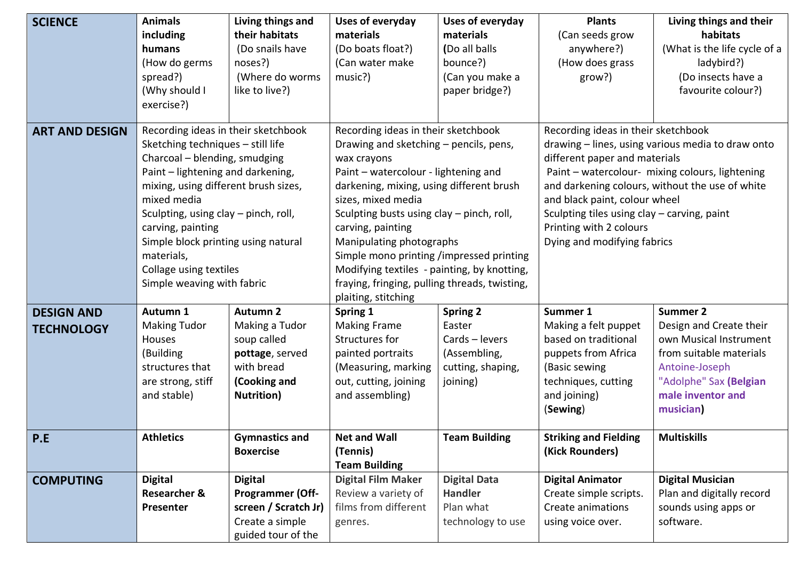| <b>SCIENCE</b>        | <b>Animals</b>                       | Living things and     | <b>Uses of everyday</b>                       | <b>Uses of everyday</b> | <b>Plants</b>                                     | Living things and their             |  |  |
|-----------------------|--------------------------------------|-----------------------|-----------------------------------------------|-------------------------|---------------------------------------------------|-------------------------------------|--|--|
|                       | including                            | their habitats        | materials                                     | materials               | (Can seeds grow                                   | habitats                            |  |  |
|                       | humans                               | (Do snails have       | (Do boats float?)                             | (Do all balls           | anywhere?)                                        | (What is the life cycle of a        |  |  |
|                       | (How do germs                        | noses?)               | (Can water make                               | bounce?)                | (How does grass                                   | ladybird?)                          |  |  |
|                       | spread?)                             | (Where do worms       | music?)                                       | (Can you make a         | grow?)                                            | (Do insects have a                  |  |  |
|                       | (Why should I                        | like to live?)        |                                               | paper bridge?)          |                                                   | favourite colour?)                  |  |  |
|                       | exercise?)                           |                       |                                               |                         |                                                   |                                     |  |  |
|                       |                                      |                       |                                               |                         |                                                   |                                     |  |  |
| <b>ART AND DESIGN</b> | Recording ideas in their sketchbook  |                       | Recording ideas in their sketchbook           |                         |                                                   | Recording ideas in their sketchbook |  |  |
|                       | Sketching techniques - still life    |                       | Drawing and sketching – pencils, pens,        |                         | drawing – lines, using various media to draw onto |                                     |  |  |
|                       | Charcoal - blending, smudging        |                       | wax crayons                                   |                         | different paper and materials                     |                                     |  |  |
|                       | Paint - lightening and darkening,    |                       | Paint - watercolour - lightening and          |                         | Paint - watercolour- mixing colours, lightening   |                                     |  |  |
|                       | mixing, using different brush sizes, |                       | darkening, mixing, using different brush      |                         | and darkening colours, without the use of white   |                                     |  |  |
|                       | mixed media                          |                       | sizes, mixed media                            |                         | and black paint, colour wheel                     |                                     |  |  |
|                       | Sculpting, using clay – pinch, roll, |                       | Sculpting busts using clay – pinch, roll,     |                         | Sculpting tiles using clay - carving, paint       |                                     |  |  |
|                       | carving, painting                    |                       | carving, painting                             |                         | Printing with 2 colours                           |                                     |  |  |
|                       | Simple block printing using natural  |                       | Manipulating photographs                      |                         | Dying and modifying fabrics                       |                                     |  |  |
|                       | materials,                           |                       | Simple mono printing /impressed printing      |                         |                                                   |                                     |  |  |
|                       | Collage using textiles               |                       | Modifying textiles - painting, by knotting,   |                         |                                                   |                                     |  |  |
|                       | Simple weaving with fabric           |                       | fraying, fringing, pulling threads, twisting, |                         |                                                   |                                     |  |  |
|                       |                                      |                       | plaiting, stitching                           |                         |                                                   |                                     |  |  |
| <b>DESIGN AND</b>     | Autumn 1                             | <b>Autumn 2</b>       | Spring 1                                      | <b>Spring 2</b>         | Summer 1                                          | <b>Summer 2</b>                     |  |  |
| <b>TECHNOLOGY</b>     | <b>Making Tudor</b>                  | Making a Tudor        | <b>Making Frame</b>                           | Easter                  | Making a felt puppet                              | Design and Create their             |  |  |
|                       | <b>Houses</b>                        | soup called           | Structures for                                | Cards - levers          | based on traditional                              | own Musical Instrument              |  |  |
|                       | (Building                            | pottage, served       | painted portraits                             | (Assembling,            | puppets from Africa                               | from suitable materials             |  |  |
|                       | structures that                      | with bread            | (Measuring, marking                           | cutting, shaping,       | (Basic sewing                                     | Antoine-Joseph                      |  |  |
|                       | are strong, stiff                    | (Cooking and          | out, cutting, joining                         | joining)                | techniques, cutting                               | "Adolphe" Sax (Belgian              |  |  |
|                       | and stable)                          | <b>Nutrition</b> )    | and assembling)                               |                         | and joining)                                      | male inventor and                   |  |  |
|                       |                                      |                       |                                               |                         | (Sewing)                                          | musician)                           |  |  |
|                       |                                      |                       |                                               |                         |                                                   |                                     |  |  |
| P.E                   | <b>Athletics</b>                     | <b>Gymnastics and</b> | <b>Net and Wall</b>                           | <b>Team Building</b>    | <b>Striking and Fielding</b>                      | <b>Multiskills</b>                  |  |  |
|                       |                                      | <b>Boxercise</b>      | (Tennis)                                      |                         | (Kick Rounders)                                   |                                     |  |  |
|                       |                                      |                       | <b>Team Building</b>                          |                         |                                                   |                                     |  |  |
| <b>COMPUTING</b>      | <b>Digital</b>                       | <b>Digital</b>        | <b>Digital Film Maker</b>                     | <b>Digital Data</b>     | <b>Digital Animator</b>                           | <b>Digital Musician</b>             |  |  |
|                       | <b>Researcher &amp;</b>              | Programmer (Off-      | Review a variety of                           | <b>Handler</b>          | Create simple scripts.                            | Plan and digitally record           |  |  |
|                       | Presenter                            | screen / Scratch Jr)  | films from different                          | Plan what               | Create animations                                 | sounds using apps or                |  |  |
|                       |                                      | Create a simple       | genres.                                       | technology to use       | using voice over.                                 | software.                           |  |  |
|                       |                                      | guided tour of the    |                                               |                         |                                                   |                                     |  |  |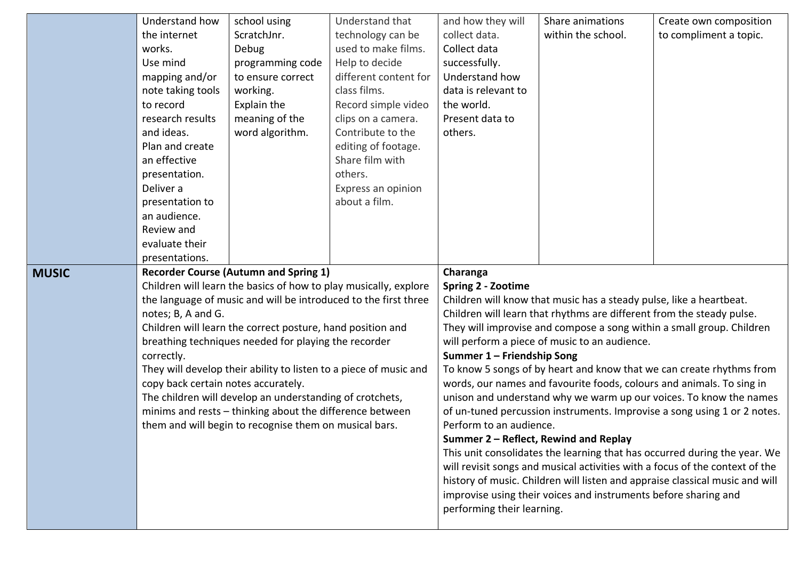|              | Understand how                                                  | school using                                                      | Understand that       | and how they will                                                                                                                               | Share animations   | Create own composition                                                   |  |
|--------------|-----------------------------------------------------------------|-------------------------------------------------------------------|-----------------------|-------------------------------------------------------------------------------------------------------------------------------------------------|--------------------|--------------------------------------------------------------------------|--|
|              | the internet                                                    | ScratchJnr.                                                       | technology can be     | collect data.                                                                                                                                   | within the school. | to compliment a topic.                                                   |  |
|              | works.                                                          | Debug                                                             | used to make films.   | Collect data                                                                                                                                    |                    |                                                                          |  |
|              | Use mind                                                        | programming code                                                  | Help to decide        | successfully.                                                                                                                                   |                    |                                                                          |  |
|              | mapping and/or                                                  | to ensure correct                                                 | different content for | Understand how                                                                                                                                  |                    |                                                                          |  |
|              | note taking tools                                               | working.                                                          | class films.          | data is relevant to                                                                                                                             |                    |                                                                          |  |
|              | to record                                                       | Explain the                                                       | Record simple video   | the world.                                                                                                                                      |                    |                                                                          |  |
|              | research results                                                | meaning of the                                                    | clips on a camera.    | Present data to                                                                                                                                 |                    |                                                                          |  |
|              | and ideas.                                                      | word algorithm.                                                   | Contribute to the     | others.                                                                                                                                         |                    |                                                                          |  |
|              | Plan and create                                                 |                                                                   | editing of footage.   |                                                                                                                                                 |                    |                                                                          |  |
|              | an effective                                                    |                                                                   | Share film with       |                                                                                                                                                 |                    |                                                                          |  |
|              | presentation.                                                   |                                                                   | others.               |                                                                                                                                                 |                    |                                                                          |  |
|              | Deliver a                                                       |                                                                   | Express an opinion    |                                                                                                                                                 |                    |                                                                          |  |
|              | presentation to                                                 |                                                                   | about a film.         |                                                                                                                                                 |                    |                                                                          |  |
|              | an audience.                                                    |                                                                   |                       |                                                                                                                                                 |                    |                                                                          |  |
|              | Review and                                                      |                                                                   |                       |                                                                                                                                                 |                    |                                                                          |  |
|              | evaluate their                                                  |                                                                   |                       |                                                                                                                                                 |                    |                                                                          |  |
|              | presentations.                                                  |                                                                   |                       |                                                                                                                                                 |                    |                                                                          |  |
| <b>MUSIC</b> | <b>Recorder Course (Autumn and Spring 1)</b>                    |                                                                   |                       | Charanga                                                                                                                                        |                    |                                                                          |  |
|              |                                                                 | Children will learn the basics of how to play musically, explore  |                       | <b>Spring 2 - Zootime</b>                                                                                                                       |                    |                                                                          |  |
|              | the language of music and will be introduced to the first three |                                                                   |                       | Children will know that music has a steady pulse, like a heartbeat.                                                                             |                    |                                                                          |  |
|              | notes; B, A and G.                                              |                                                                   |                       | Children will learn that rhythms are different from the steady pulse.                                                                           |                    |                                                                          |  |
|              | Children will learn the correct posture, hand position and      |                                                                   |                       | They will improvise and compose a song within a small group. Children                                                                           |                    |                                                                          |  |
|              | breathing techniques needed for playing the recorder            |                                                                   |                       | will perform a piece of music to an audience.                                                                                                   |                    |                                                                          |  |
|              | correctly.                                                      |                                                                   |                       | Summer 1 - Friendship Song                                                                                                                      |                    |                                                                          |  |
|              |                                                                 | They will develop their ability to listen to a piece of music and |                       | To know 5 songs of by heart and know that we can create rhythms from                                                                            |                    |                                                                          |  |
|              | copy back certain notes accurately.                             |                                                                   |                       | words, our names and favourite foods, colours and animals. To sing in                                                                           |                    |                                                                          |  |
|              | The children will develop an understanding of crotchets,        |                                                                   |                       | unison and understand why we warm up our voices. To know the names                                                                              |                    |                                                                          |  |
|              |                                                                 | minims and rests - thinking about the difference between          |                       |                                                                                                                                                 |                    | of un-tuned percussion instruments. Improvise a song using 1 or 2 notes. |  |
|              | them and will begin to recognise them on musical bars.          |                                                                   |                       | Perform to an audience.                                                                                                                         |                    |                                                                          |  |
|              |                                                                 |                                                                   |                       | Summer 2 - Reflect, Rewind and Replay                                                                                                           |                    |                                                                          |  |
|              |                                                                 |                                                                   |                       | This unit consolidates the learning that has occurred during the year. We                                                                       |                    |                                                                          |  |
|              |                                                                 |                                                                   |                       | will revisit songs and musical activities with a focus of the context of the                                                                    |                    |                                                                          |  |
|              |                                                                 |                                                                   |                       | history of music. Children will listen and appraise classical music and will<br>improvise using their voices and instruments before sharing and |                    |                                                                          |  |
|              |                                                                 |                                                                   |                       | performing their learning.                                                                                                                      |                    |                                                                          |  |
|              |                                                                 |                                                                   |                       |                                                                                                                                                 |                    |                                                                          |  |
|              |                                                                 |                                                                   |                       |                                                                                                                                                 |                    |                                                                          |  |